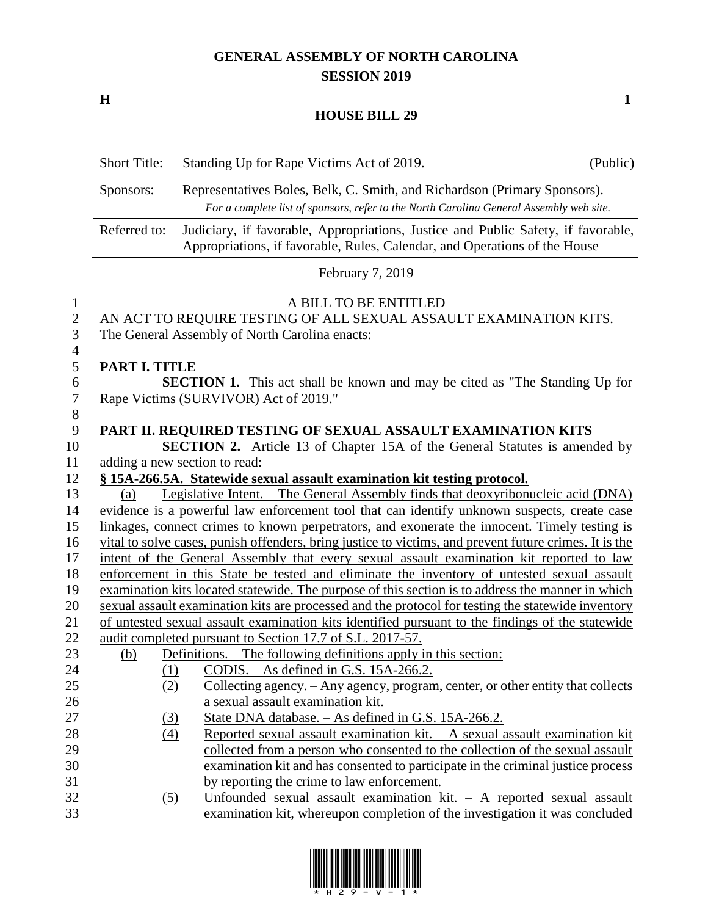## **GENERAL ASSEMBLY OF NORTH CAROLINA SESSION 2019**

**H 1**

## **HOUSE BILL 29**

| <b>Short Title:</b>                                                                                                                                                               | Standing Up for Rape Victims Act of 2019. | (Public)                                                                                                                                                                                                                                                                                                                                                                                                                                                                                                                                                                                                                                                                                                                                                                                                                                                                                                                                                                                                                                                                                                                                                                                                                                                                                                                                                                                                                                                                                                                                                                                                                                                                                                                                                                                                                                                                                                                                                                                                                                                                                                                                                                                                                                                                                                                                                                                                                              |  |  |  |  |
|-----------------------------------------------------------------------------------------------------------------------------------------------------------------------------------|-------------------------------------------|---------------------------------------------------------------------------------------------------------------------------------------------------------------------------------------------------------------------------------------------------------------------------------------------------------------------------------------------------------------------------------------------------------------------------------------------------------------------------------------------------------------------------------------------------------------------------------------------------------------------------------------------------------------------------------------------------------------------------------------------------------------------------------------------------------------------------------------------------------------------------------------------------------------------------------------------------------------------------------------------------------------------------------------------------------------------------------------------------------------------------------------------------------------------------------------------------------------------------------------------------------------------------------------------------------------------------------------------------------------------------------------------------------------------------------------------------------------------------------------------------------------------------------------------------------------------------------------------------------------------------------------------------------------------------------------------------------------------------------------------------------------------------------------------------------------------------------------------------------------------------------------------------------------------------------------------------------------------------------------------------------------------------------------------------------------------------------------------------------------------------------------------------------------------------------------------------------------------------------------------------------------------------------------------------------------------------------------------------------------------------------------------------------------------------------------|--|--|--|--|
| Representatives Boles, Belk, C. Smith, and Richardson (Primary Sponsors).<br>Sponsors:<br>For a complete list of sponsors, refer to the North Carolina General Assembly web site. |                                           |                                                                                                                                                                                                                                                                                                                                                                                                                                                                                                                                                                                                                                                                                                                                                                                                                                                                                                                                                                                                                                                                                                                                                                                                                                                                                                                                                                                                                                                                                                                                                                                                                                                                                                                                                                                                                                                                                                                                                                                                                                                                                                                                                                                                                                                                                                                                                                                                                                       |  |  |  |  |
| Referred to:                                                                                                                                                                      |                                           |                                                                                                                                                                                                                                                                                                                                                                                                                                                                                                                                                                                                                                                                                                                                                                                                                                                                                                                                                                                                                                                                                                                                                                                                                                                                                                                                                                                                                                                                                                                                                                                                                                                                                                                                                                                                                                                                                                                                                                                                                                                                                                                                                                                                                                                                                                                                                                                                                                       |  |  |  |  |
| February 7, 2019                                                                                                                                                                  |                                           |                                                                                                                                                                                                                                                                                                                                                                                                                                                                                                                                                                                                                                                                                                                                                                                                                                                                                                                                                                                                                                                                                                                                                                                                                                                                                                                                                                                                                                                                                                                                                                                                                                                                                                                                                                                                                                                                                                                                                                                                                                                                                                                                                                                                                                                                                                                                                                                                                                       |  |  |  |  |
|                                                                                                                                                                                   | A BILL TO BE ENTITLED                     |                                                                                                                                                                                                                                                                                                                                                                                                                                                                                                                                                                                                                                                                                                                                                                                                                                                                                                                                                                                                                                                                                                                                                                                                                                                                                                                                                                                                                                                                                                                                                                                                                                                                                                                                                                                                                                                                                                                                                                                                                                                                                                                                                                                                                                                                                                                                                                                                                                       |  |  |  |  |
|                                                                                                                                                                                   |                                           |                                                                                                                                                                                                                                                                                                                                                                                                                                                                                                                                                                                                                                                                                                                                                                                                                                                                                                                                                                                                                                                                                                                                                                                                                                                                                                                                                                                                                                                                                                                                                                                                                                                                                                                                                                                                                                                                                                                                                                                                                                                                                                                                                                                                                                                                                                                                                                                                                                       |  |  |  |  |
|                                                                                                                                                                                   |                                           |                                                                                                                                                                                                                                                                                                                                                                                                                                                                                                                                                                                                                                                                                                                                                                                                                                                                                                                                                                                                                                                                                                                                                                                                                                                                                                                                                                                                                                                                                                                                                                                                                                                                                                                                                                                                                                                                                                                                                                                                                                                                                                                                                                                                                                                                                                                                                                                                                                       |  |  |  |  |
|                                                                                                                                                                                   |                                           |                                                                                                                                                                                                                                                                                                                                                                                                                                                                                                                                                                                                                                                                                                                                                                                                                                                                                                                                                                                                                                                                                                                                                                                                                                                                                                                                                                                                                                                                                                                                                                                                                                                                                                                                                                                                                                                                                                                                                                                                                                                                                                                                                                                                                                                                                                                                                                                                                                       |  |  |  |  |
|                                                                                                                                                                                   |                                           |                                                                                                                                                                                                                                                                                                                                                                                                                                                                                                                                                                                                                                                                                                                                                                                                                                                                                                                                                                                                                                                                                                                                                                                                                                                                                                                                                                                                                                                                                                                                                                                                                                                                                                                                                                                                                                                                                                                                                                                                                                                                                                                                                                                                                                                                                                                                                                                                                                       |  |  |  |  |
|                                                                                                                                                                                   |                                           |                                                                                                                                                                                                                                                                                                                                                                                                                                                                                                                                                                                                                                                                                                                                                                                                                                                                                                                                                                                                                                                                                                                                                                                                                                                                                                                                                                                                                                                                                                                                                                                                                                                                                                                                                                                                                                                                                                                                                                                                                                                                                                                                                                                                                                                                                                                                                                                                                                       |  |  |  |  |
|                                                                                                                                                                                   |                                           |                                                                                                                                                                                                                                                                                                                                                                                                                                                                                                                                                                                                                                                                                                                                                                                                                                                                                                                                                                                                                                                                                                                                                                                                                                                                                                                                                                                                                                                                                                                                                                                                                                                                                                                                                                                                                                                                                                                                                                                                                                                                                                                                                                                                                                                                                                                                                                                                                                       |  |  |  |  |
|                                                                                                                                                                                   |                                           |                                                                                                                                                                                                                                                                                                                                                                                                                                                                                                                                                                                                                                                                                                                                                                                                                                                                                                                                                                                                                                                                                                                                                                                                                                                                                                                                                                                                                                                                                                                                                                                                                                                                                                                                                                                                                                                                                                                                                                                                                                                                                                                                                                                                                                                                                                                                                                                                                                       |  |  |  |  |
|                                                                                                                                                                                   |                                           |                                                                                                                                                                                                                                                                                                                                                                                                                                                                                                                                                                                                                                                                                                                                                                                                                                                                                                                                                                                                                                                                                                                                                                                                                                                                                                                                                                                                                                                                                                                                                                                                                                                                                                                                                                                                                                                                                                                                                                                                                                                                                                                                                                                                                                                                                                                                                                                                                                       |  |  |  |  |
|                                                                                                                                                                                   |                                           |                                                                                                                                                                                                                                                                                                                                                                                                                                                                                                                                                                                                                                                                                                                                                                                                                                                                                                                                                                                                                                                                                                                                                                                                                                                                                                                                                                                                                                                                                                                                                                                                                                                                                                                                                                                                                                                                                                                                                                                                                                                                                                                                                                                                                                                                                                                                                                                                                                       |  |  |  |  |
|                                                                                                                                                                                   |                                           |                                                                                                                                                                                                                                                                                                                                                                                                                                                                                                                                                                                                                                                                                                                                                                                                                                                                                                                                                                                                                                                                                                                                                                                                                                                                                                                                                                                                                                                                                                                                                                                                                                                                                                                                                                                                                                                                                                                                                                                                                                                                                                                                                                                                                                                                                                                                                                                                                                       |  |  |  |  |
|                                                                                                                                                                                   |                                           |                                                                                                                                                                                                                                                                                                                                                                                                                                                                                                                                                                                                                                                                                                                                                                                                                                                                                                                                                                                                                                                                                                                                                                                                                                                                                                                                                                                                                                                                                                                                                                                                                                                                                                                                                                                                                                                                                                                                                                                                                                                                                                                                                                                                                                                                                                                                                                                                                                       |  |  |  |  |
|                                                                                                                                                                                   |                                           |                                                                                                                                                                                                                                                                                                                                                                                                                                                                                                                                                                                                                                                                                                                                                                                                                                                                                                                                                                                                                                                                                                                                                                                                                                                                                                                                                                                                                                                                                                                                                                                                                                                                                                                                                                                                                                                                                                                                                                                                                                                                                                                                                                                                                                                                                                                                                                                                                                       |  |  |  |  |
|                                                                                                                                                                                   |                                           |                                                                                                                                                                                                                                                                                                                                                                                                                                                                                                                                                                                                                                                                                                                                                                                                                                                                                                                                                                                                                                                                                                                                                                                                                                                                                                                                                                                                                                                                                                                                                                                                                                                                                                                                                                                                                                                                                                                                                                                                                                                                                                                                                                                                                                                                                                                                                                                                                                       |  |  |  |  |
|                                                                                                                                                                                   |                                           |                                                                                                                                                                                                                                                                                                                                                                                                                                                                                                                                                                                                                                                                                                                                                                                                                                                                                                                                                                                                                                                                                                                                                                                                                                                                                                                                                                                                                                                                                                                                                                                                                                                                                                                                                                                                                                                                                                                                                                                                                                                                                                                                                                                                                                                                                                                                                                                                                                       |  |  |  |  |
| (b)                                                                                                                                                                               |                                           |                                                                                                                                                                                                                                                                                                                                                                                                                                                                                                                                                                                                                                                                                                                                                                                                                                                                                                                                                                                                                                                                                                                                                                                                                                                                                                                                                                                                                                                                                                                                                                                                                                                                                                                                                                                                                                                                                                                                                                                                                                                                                                                                                                                                                                                                                                                                                                                                                                       |  |  |  |  |
|                                                                                                                                                                                   | CODIS. $-$ As defined in G.S. 15A-266.2.  |                                                                                                                                                                                                                                                                                                                                                                                                                                                                                                                                                                                                                                                                                                                                                                                                                                                                                                                                                                                                                                                                                                                                                                                                                                                                                                                                                                                                                                                                                                                                                                                                                                                                                                                                                                                                                                                                                                                                                                                                                                                                                                                                                                                                                                                                                                                                                                                                                                       |  |  |  |  |
|                                                                                                                                                                                   |                                           |                                                                                                                                                                                                                                                                                                                                                                                                                                                                                                                                                                                                                                                                                                                                                                                                                                                                                                                                                                                                                                                                                                                                                                                                                                                                                                                                                                                                                                                                                                                                                                                                                                                                                                                                                                                                                                                                                                                                                                                                                                                                                                                                                                                                                                                                                                                                                                                                                                       |  |  |  |  |
|                                                                                                                                                                                   |                                           |                                                                                                                                                                                                                                                                                                                                                                                                                                                                                                                                                                                                                                                                                                                                                                                                                                                                                                                                                                                                                                                                                                                                                                                                                                                                                                                                                                                                                                                                                                                                                                                                                                                                                                                                                                                                                                                                                                                                                                                                                                                                                                                                                                                                                                                                                                                                                                                                                                       |  |  |  |  |
|                                                                                                                                                                                   |                                           |                                                                                                                                                                                                                                                                                                                                                                                                                                                                                                                                                                                                                                                                                                                                                                                                                                                                                                                                                                                                                                                                                                                                                                                                                                                                                                                                                                                                                                                                                                                                                                                                                                                                                                                                                                                                                                                                                                                                                                                                                                                                                                                                                                                                                                                                                                                                                                                                                                       |  |  |  |  |
|                                                                                                                                                                                   |                                           |                                                                                                                                                                                                                                                                                                                                                                                                                                                                                                                                                                                                                                                                                                                                                                                                                                                                                                                                                                                                                                                                                                                                                                                                                                                                                                                                                                                                                                                                                                                                                                                                                                                                                                                                                                                                                                                                                                                                                                                                                                                                                                                                                                                                                                                                                                                                                                                                                                       |  |  |  |  |
|                                                                                                                                                                                   |                                           |                                                                                                                                                                                                                                                                                                                                                                                                                                                                                                                                                                                                                                                                                                                                                                                                                                                                                                                                                                                                                                                                                                                                                                                                                                                                                                                                                                                                                                                                                                                                                                                                                                                                                                                                                                                                                                                                                                                                                                                                                                                                                                                                                                                                                                                                                                                                                                                                                                       |  |  |  |  |
|                                                                                                                                                                                   |                                           |                                                                                                                                                                                                                                                                                                                                                                                                                                                                                                                                                                                                                                                                                                                                                                                                                                                                                                                                                                                                                                                                                                                                                                                                                                                                                                                                                                                                                                                                                                                                                                                                                                                                                                                                                                                                                                                                                                                                                                                                                                                                                                                                                                                                                                                                                                                                                                                                                                       |  |  |  |  |
|                                                                                                                                                                                   |                                           |                                                                                                                                                                                                                                                                                                                                                                                                                                                                                                                                                                                                                                                                                                                                                                                                                                                                                                                                                                                                                                                                                                                                                                                                                                                                                                                                                                                                                                                                                                                                                                                                                                                                                                                                                                                                                                                                                                                                                                                                                                                                                                                                                                                                                                                                                                                                                                                                                                       |  |  |  |  |
|                                                                                                                                                                                   |                                           |                                                                                                                                                                                                                                                                                                                                                                                                                                                                                                                                                                                                                                                                                                                                                                                                                                                                                                                                                                                                                                                                                                                                                                                                                                                                                                                                                                                                                                                                                                                                                                                                                                                                                                                                                                                                                                                                                                                                                                                                                                                                                                                                                                                                                                                                                                                                                                                                                                       |  |  |  |  |
|                                                                                                                                                                                   | (a)                                       | Judiciary, if favorable, Appropriations, Justice and Public Safety, if favorable,<br>Appropriations, if favorable, Rules, Calendar, and Operations of the House<br>AN ACT TO REQUIRE TESTING OF ALL SEXUAL ASSAULT EXAMINATION KITS.<br>The General Assembly of North Carolina enacts:<br>PART I. TITLE<br><b>SECTION 1.</b> This act shall be known and may be cited as "The Standing Up for<br>Rape Victims (SURVIVOR) Act of 2019."<br>PART II. REQUIRED TESTING OF SEXUAL ASSAULT EXAMINATION KITS<br><b>SECTION 2.</b> Article 13 of Chapter 15A of the General Statutes is amended by<br>adding a new section to read:<br>§ 15A-266.5A. Statewide sexual assault examination kit testing protocol.<br>Legislative Intent. - The General Assembly finds that deoxyribonucleic acid (DNA)<br>evidence is a powerful law enforcement tool that can identify unknown suspects, create case<br>linkages, connect crimes to known perpetrators, and exonerate the innocent. Timely testing is<br>vital to solve cases, punish offenders, bring justice to victims, and prevent future crimes. It is the<br>intent of the General Assembly that every sexual assault examination kit reported to law<br>enforcement in this State be tested and eliminate the inventory of untested sexual assault<br>examination kits located statewide. The purpose of this section is to address the manner in which<br>sexual assault examination kits are processed and the protocol for testing the statewide inventory<br>of untested sexual assault examination kits identified pursuant to the findings of the statewide<br>audit completed pursuant to Section 17.7 of S.L. 2017-57.<br>Definitions. – The following definitions apply in this section:<br>(1)<br>(2)<br><u>Collecting agency. – Any agency, program, center, or other entity that collects</u><br>a sexual assault examination kit.<br>State DNA database. - As defined in G.S. 15A-266.2.<br>(3)<br>Reported sexual assault examination kit. - A sexual assault examination kit<br>(4)<br>collected from a person who consented to the collection of the sexual assault<br>examination kit and has consented to participate in the criminal justice process<br>by reporting the crime to law enforcement.<br>Unfounded sexual assault examination $kit. - A$ reported sexual assault<br>(5)<br>examination kit, whereupon completion of the investigation it was concluded |  |  |  |  |

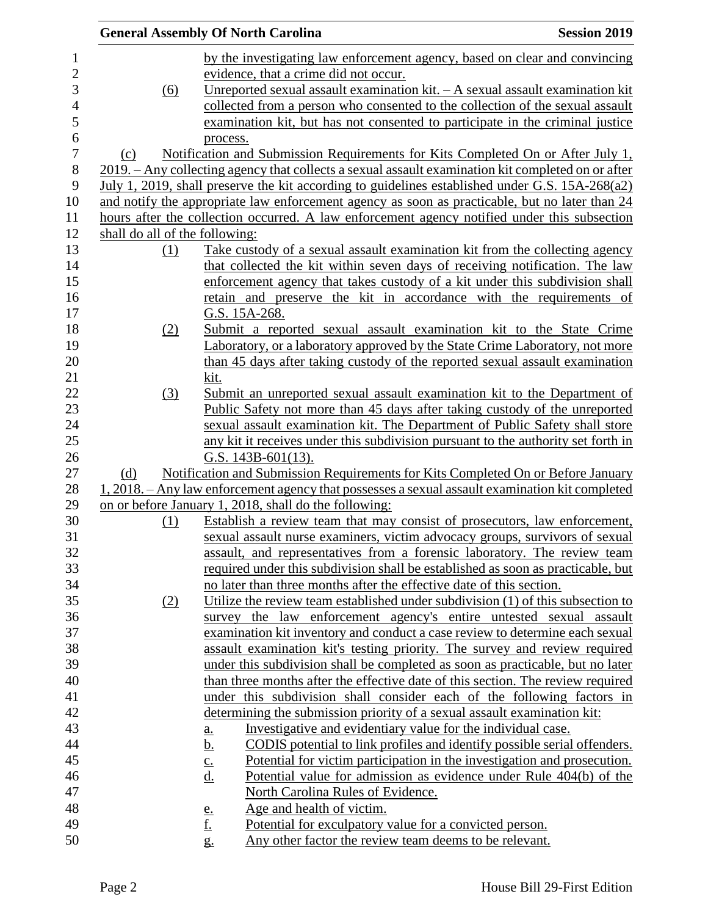|     |     | <b>General Assembly Of North Carolina</b>                                                                                                                                             | <b>Session 2019</b> |
|-----|-----|---------------------------------------------------------------------------------------------------------------------------------------------------------------------------------------|---------------------|
|     |     | by the investigating law enforcement agency, based on clear and convincing                                                                                                            |                     |
|     |     | evidence, that a crime did not occur.                                                                                                                                                 |                     |
|     | (6) | Unreported sexual assault examination $kit. - A$ sexual assault examination $kit$                                                                                                     |                     |
|     |     | collected from a person who consented to the collection of the sexual assault                                                                                                         |                     |
|     |     | examination kit, but has not consented to participate in the criminal justice                                                                                                         |                     |
|     |     |                                                                                                                                                                                       |                     |
|     |     | process.                                                                                                                                                                              |                     |
| (c) |     | Notification and Submission Requirements for Kits Completed On or After July 1,<br>2019. – Any collecting agency that collects a sexual assault examination kit completed on or after |                     |
|     |     |                                                                                                                                                                                       |                     |
|     |     | July 1, 2019, shall preserve the kit according to guidelines established under G.S. 15A-268(a2)                                                                                       |                     |
|     |     | and notify the appropriate law enforcement agency as soon as practicable, but no later than 24                                                                                        |                     |
|     |     | hours after the collection occurred. A law enforcement agency notified under this subsection                                                                                          |                     |
|     |     | shall do all of the following:                                                                                                                                                        |                     |
|     | (1) | Take custody of a sexual assault examination kit from the collecting agency                                                                                                           |                     |
|     |     | that collected the kit within seven days of receiving notification. The law                                                                                                           |                     |
|     |     | enforcement agency that takes custody of a kit under this subdivision shall                                                                                                           |                     |
|     |     | retain and preserve the kit in accordance with the requirements of                                                                                                                    |                     |
|     |     | G.S. 15A-268.                                                                                                                                                                         |                     |
|     | (2) | Submit a reported sexual assault examination kit to the State Crime                                                                                                                   |                     |
|     |     | Laboratory, or a laboratory approved by the State Crime Laboratory, not more                                                                                                          |                     |
|     |     | than 45 days after taking custody of the reported sexual assault examination                                                                                                          |                     |
|     |     | kit.                                                                                                                                                                                  |                     |
|     | (3) | Submit an unreported sexual assault examination kit to the Department of                                                                                                              |                     |
|     |     | Public Safety not more than 45 days after taking custody of the unreported                                                                                                            |                     |
|     |     | sexual assault examination kit. The Department of Public Safety shall store                                                                                                           |                     |
|     |     | any kit it receives under this subdivision pursuant to the authority set forth in                                                                                                     |                     |
|     |     | G.S. $143B-601(13)$ .                                                                                                                                                                 |                     |
| (d) |     | Notification and Submission Requirements for Kits Completed On or Before January                                                                                                      |                     |
|     |     | 1, 2018. – Any law enforcement agency that possesses a sexual assault examination kit completed                                                                                       |                     |
|     |     | on or before January 1, 2018, shall do the following:                                                                                                                                 |                     |
|     | (1) | Establish a review team that may consist of prosecutors, law enforcement,                                                                                                             |                     |
|     |     | sexual assault nurse examiners, victim advocacy groups, survivors of sexual                                                                                                           |                     |
|     |     | assault, and representatives from a forensic laboratory. The review team                                                                                                              |                     |
|     |     | required under this subdivision shall be established as soon as practicable, but                                                                                                      |                     |
|     |     | no later than three months after the effective date of this section.                                                                                                                  |                     |
|     | (2) | Utilize the review team established under subdivision (1) of this subsection to                                                                                                       |                     |
|     |     | survey the law enforcement agency's entire untested sexual assault                                                                                                                    |                     |
|     |     | examination kit inventory and conduct a case review to determine each sexual                                                                                                          |                     |
|     |     | assault examination kit's testing priority. The survey and review required                                                                                                            |                     |
|     |     | under this subdivision shall be completed as soon as practicable, but no later                                                                                                        |                     |
|     |     | than three months after the effective date of this section. The review required                                                                                                       |                     |
|     |     | under this subdivision shall consider each of the following factors in                                                                                                                |                     |
|     |     |                                                                                                                                                                                       |                     |
|     |     | determining the submission priority of a sexual assault examination kit:                                                                                                              |                     |
|     |     | Investigative and evidentiary value for the individual case.<br>$\underline{\mathbf{a}}$ .                                                                                            |                     |
|     |     | CODIS potential to link profiles and identify possible serial offenders.<br><u>b.</u>                                                                                                 |                     |
|     |     | Potential for victim participation in the investigation and prosecution.<br>$\underline{c}$ .                                                                                         |                     |
|     |     | Potential value for admission as evidence under Rule 404(b) of the<br><u>d.</u>                                                                                                       |                     |
|     |     | North Carolina Rules of Evidence.                                                                                                                                                     |                     |
|     |     | Age and health of victim.<br><u>e.</u>                                                                                                                                                |                     |
|     |     | <u>f.</u><br>Potential for exculpatory value for a convicted person.                                                                                                                  |                     |
|     |     | <u>Any other factor the review team deems to be relevant.</u><br>$g_{\cdot}$                                                                                                          |                     |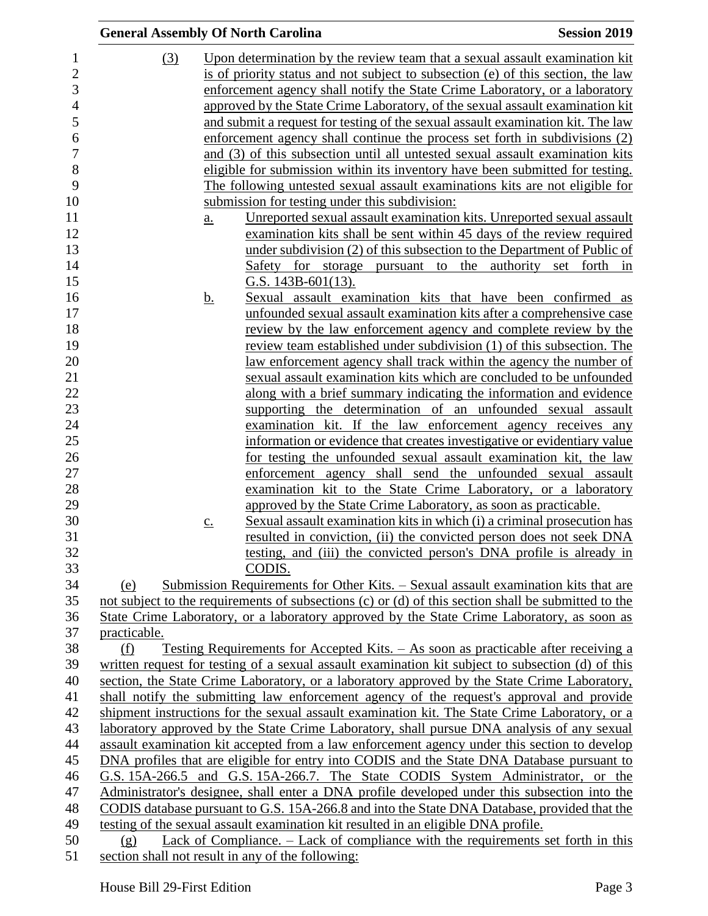|                | <b>General Assembly Of North Carolina</b>         |                                                                                    | <b>Session 2019</b>                                                                                                                      |
|----------------|---------------------------------------------------|------------------------------------------------------------------------------------|------------------------------------------------------------------------------------------------------------------------------------------|
| $\mathbf{1}$   | (3)                                               |                                                                                    | Upon determination by the review team that a sexual assault examination kit                                                              |
| $\overline{2}$ |                                                   |                                                                                    | is of priority status and not subject to subsection (e) of this section, the law                                                         |
| 3              |                                                   |                                                                                    | enforcement agency shall notify the State Crime Laboratory, or a laboratory                                                              |
| 4              |                                                   |                                                                                    | approved by the State Crime Laboratory, of the sexual assault examination kit                                                            |
|                |                                                   |                                                                                    | and submit a request for testing of the sexual assault examination kit. The law                                                          |
|                |                                                   |                                                                                    | enforcement agency shall continue the process set forth in subdivisions (2)                                                              |
|                |                                                   |                                                                                    | and (3) of this subsection until all untested sexual assault examination kits                                                            |
|                |                                                   |                                                                                    | eligible for submission within its inventory have been submitted for testing.                                                            |
|                |                                                   |                                                                                    | The following untested sexual assault examinations kits are not eligible for                                                             |
|                |                                                   | submission for testing under this subdivision:                                     |                                                                                                                                          |
|                |                                                   |                                                                                    | Unreported sexual assault examination kits. Unreported sexual assault                                                                    |
|                | $\underline{a}$ .                                 |                                                                                    | examination kits shall be sent within 45 days of the review required                                                                     |
|                |                                                   |                                                                                    | under subdivision (2) of this subsection to the Department of Public of                                                                  |
|                |                                                   |                                                                                    | Safety for storage pursuant to the authority set forth in                                                                                |
|                |                                                   | G.S. $143B-601(13)$ .                                                              |                                                                                                                                          |
|                |                                                   |                                                                                    | Sexual assault examination kits that have been confirmed as                                                                              |
|                | <u>b.</u>                                         |                                                                                    | unfounded sexual assault examination kits after a comprehensive case                                                                     |
|                |                                                   |                                                                                    |                                                                                                                                          |
|                |                                                   |                                                                                    | review by the law enforcement agency and complete review by the<br>review team established under subdivision (1) of this subsection. The |
|                |                                                   |                                                                                    | law enforcement agency shall track within the agency the number of                                                                       |
|                |                                                   |                                                                                    | sexual assault examination kits which are concluded to be unfounded                                                                      |
|                |                                                   |                                                                                    | along with a brief summary indicating the information and evidence                                                                       |
|                |                                                   |                                                                                    | supporting the determination of an unfounded sexual assault                                                                              |
|                |                                                   |                                                                                    | examination kit. If the law enforcement agency receives any                                                                              |
|                |                                                   |                                                                                    | information or evidence that creates investigative or evidentiary value                                                                  |
|                |                                                   |                                                                                    | for testing the unfounded sexual assault examination kit, the law                                                                        |
|                |                                                   |                                                                                    | enforcement agency shall send the unfounded sexual assault                                                                               |
|                |                                                   |                                                                                    | examination kit to the State Crime Laboratory, or a laboratory                                                                           |
|                |                                                   | approved by the State Crime Laboratory, as soon as practicable.                    |                                                                                                                                          |
|                | $\underline{c}$ .                                 |                                                                                    | Sexual assault examination kits in which (i) a criminal prosecution has                                                                  |
|                |                                                   |                                                                                    | resulted in conviction, (ii) the convicted person does not seek DNA                                                                      |
|                |                                                   |                                                                                    | testing, and (iii) the convicted person's DNA profile is already in                                                                      |
|                |                                                   | CODIS.                                                                             |                                                                                                                                          |
|                | (e)                                               |                                                                                    | Submission Requirements for Other Kits. – Sexual assault examination kits that are                                                       |
|                |                                                   |                                                                                    | not subject to the requirements of subsections (c) or (d) of this section shall be submitted to the                                      |
|                |                                                   |                                                                                    | State Crime Laboratory, or a laboratory approved by the State Crime Laboratory, as soon as                                               |
|                | practicable.                                      |                                                                                    |                                                                                                                                          |
|                | (f)                                               |                                                                                    | Testing Requirements for Accepted Kits. – As soon as practicable after receiving a                                                       |
|                |                                                   |                                                                                    | written request for testing of a sexual assault examination kit subject to subsection (d) of this                                        |
|                |                                                   |                                                                                    | section, the State Crime Laboratory, or a laboratory approved by the State Crime Laboratory,                                             |
|                |                                                   |                                                                                    | shall notify the submitting law enforcement agency of the request's approval and provide                                                 |
|                |                                                   |                                                                                    | shipment instructions for the sexual assault examination kit. The State Crime Laboratory, or a                                           |
|                |                                                   |                                                                                    | laboratory approved by the State Crime Laboratory, shall pursue DNA analysis of any sexual                                               |
|                |                                                   |                                                                                    | assault examination kit accepted from a law enforcement agency under this section to develop                                             |
|                |                                                   |                                                                                    | DNA profiles that are eligible for entry into CODIS and the State DNA Database pursuant to                                               |
|                |                                                   |                                                                                    | G.S. 15A-266.5 and G.S. 15A-266.7. The State CODIS System Administrator, or the                                                          |
|                |                                                   |                                                                                    | Administrator's designee, shall enter a DNA profile developed under this subsection into the                                             |
|                |                                                   |                                                                                    | CODIS database pursuant to G.S. 15A-266.8 and into the State DNA Database, provided that the                                             |
|                |                                                   | testing of the sexual assault examination kit resulted in an eligible DNA profile. |                                                                                                                                          |
|                | (g)                                               |                                                                                    | Lack of Compliance. – Lack of compliance with the requirements set forth in this                                                         |
|                | section shall not result in any of the following: |                                                                                    |                                                                                                                                          |